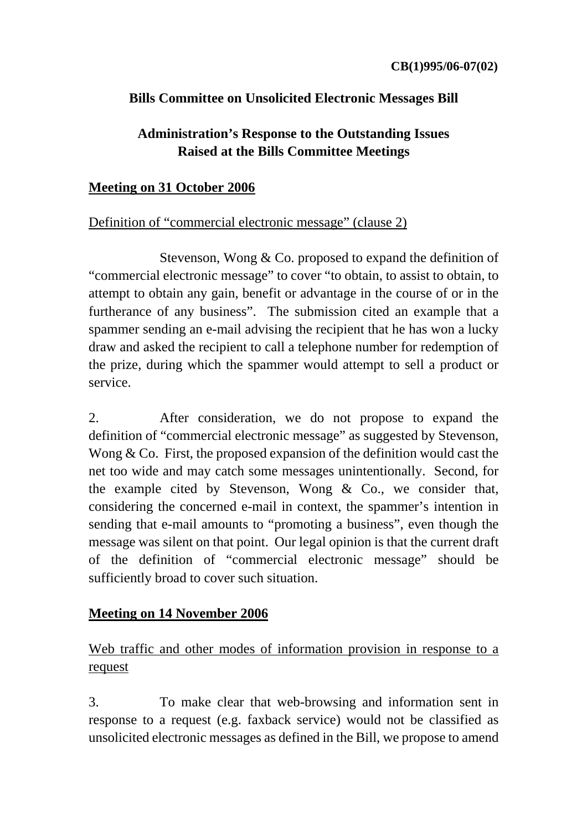# **Bills Committee on Unsolicited Electronic Messages Bill**

# **Administration's Response to the Outstanding Issues Raised at the Bills Committee Meetings**

### **Meeting on 31 October 2006**

# Definition of "commercial electronic message" (clause 2)

 Stevenson, Wong & Co. proposed to expand the definition of "commercial electronic message" to cover "to obtain, to assist to obtain, to attempt to obtain any gain, benefit or advantage in the course of or in the furtherance of any business". The submission cited an example that a spammer sending an e-mail advising the recipient that he has won a lucky draw and asked the recipient to call a telephone number for redemption of the prize, during which the spammer would attempt to sell a product or service.

2. After consideration, we do not propose to expand the definition of "commercial electronic message" as suggested by Stevenson, Wong & Co. First, the proposed expansion of the definition would cast the net too wide and may catch some messages unintentionally. Second, for the example cited by Stevenson, Wong & Co., we consider that, considering the concerned e-mail in context, the spammer's intention in sending that e-mail amounts to "promoting a business", even though the message was silent on that point. Our legal opinion is that the current draft of the definition of "commercial electronic message" should be sufficiently broad to cover such situation.

# **Meeting on 14 November 2006**

# Web traffic and other modes of information provision in response to a request

3. To make clear that web-browsing and information sent in response to a request (e.g. faxback service) would not be classified as unsolicited electronic messages as defined in the Bill, we propose to amend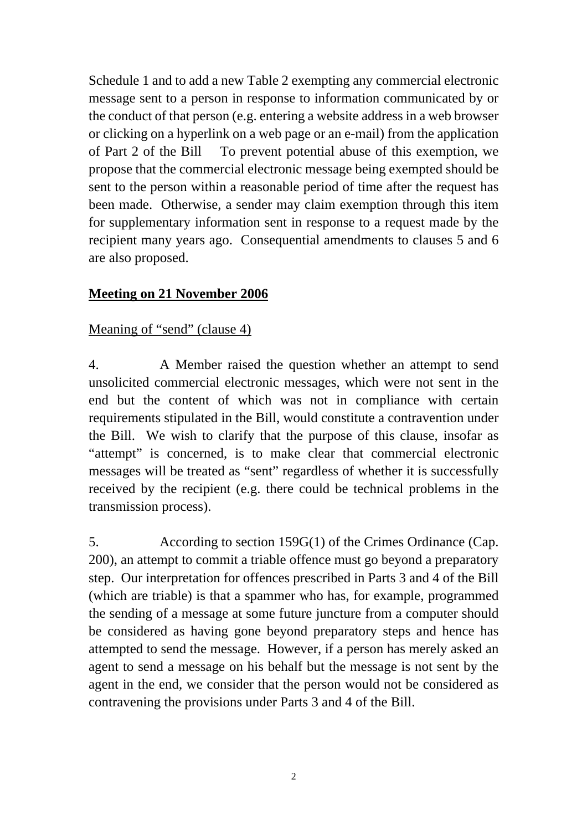Schedule 1 and to add a new Table 2 exempting any commercial electronic message sent to a person in response to information communicated by or the conduct of that person (e.g. entering a website address in a web browser or clicking on a hyperlink on a web page or an e-mail) from the application of Part 2 of the Bill To prevent potential abuse of this exemption, we propose that the commercial electronic message being exempted should be sent to the person within a reasonable period of time after the request has been made. Otherwise, a sender may claim exemption through this item for supplementary information sent in response to a request made by the recipient many years ago. Consequential amendments to clauses 5 and 6 are also proposed.

# **Meeting on 21 November 2006**

### Meaning of "send" (clause 4)

4. A Member raised the question whether an attempt to send unsolicited commercial electronic messages, which were not sent in the end but the content of which was not in compliance with certain requirements stipulated in the Bill, would constitute a contravention under the Bill. We wish to clarify that the purpose of this clause, insofar as "attempt" is concerned, is to make clear that commercial electronic messages will be treated as "sent" regardless of whether it is successfully received by the recipient (e.g. there could be technical problems in the transmission process).

5. According to section 159G(1) of the Crimes Ordinance (Cap. 200), an attempt to commit a triable offence must go beyond a preparatory step. Our interpretation for offences prescribed in Parts 3 and 4 of the Bill (which are triable) is that a spammer who has, for example, programmed the sending of a message at some future juncture from a computer should be considered as having gone beyond preparatory steps and hence has attempted to send the message. However, if a person has merely asked an agent to send a message on his behalf but the message is not sent by the agent in the end, we consider that the person would not be considered as contravening the provisions under Parts 3 and 4 of the Bill.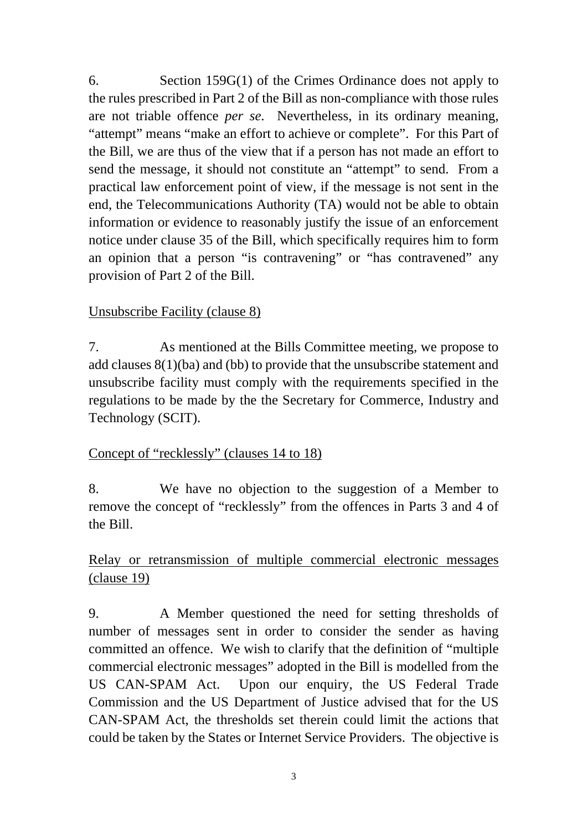6. Section 159G(1) of the Crimes Ordinance does not apply to the rules prescribed in Part 2 of the Bill as non-compliance with those rules are not triable offence *per se*. Nevertheless, in its ordinary meaning, "attempt" means "make an effort to achieve or complete". For this Part of the Bill, we are thus of the view that if a person has not made an effort to send the message, it should not constitute an "attempt" to send. From a practical law enforcement point of view, if the message is not sent in the end, the Telecommunications Authority (TA) would not be able to obtain information or evidence to reasonably justify the issue of an enforcement notice under clause 35 of the Bill, which specifically requires him to form an opinion that a person "is contravening" or "has contravened" any provision of Part 2 of the Bill.

# Unsubscribe Facility (clause 8)

7. As mentioned at the Bills Committee meeting, we propose to add clauses 8(1)(ba) and (bb) to provide that the unsubscribe statement and unsubscribe facility must comply with the requirements specified in the regulations to be made by the the Secretary for Commerce, Industry and Technology (SCIT).

### Concept of "recklessly" (clauses 14 to 18)

8. We have no objection to the suggestion of a Member to remove the concept of "recklessly" from the offences in Parts 3 and 4 of the Bill.

# Relay or retransmission of multiple commercial electronic messages (clause 19)

9. A Member questioned the need for setting thresholds of number of messages sent in order to consider the sender as having committed an offence. We wish to clarify that the definition of "multiple commercial electronic messages" adopted in the Bill is modelled from the US CAN-SPAM Act. Upon our enquiry, the US Federal Trade Commission and the US Department of Justice advised that for the US CAN-SPAM Act, the thresholds set therein could limit the actions that could be taken by the States or Internet Service Providers. The objective is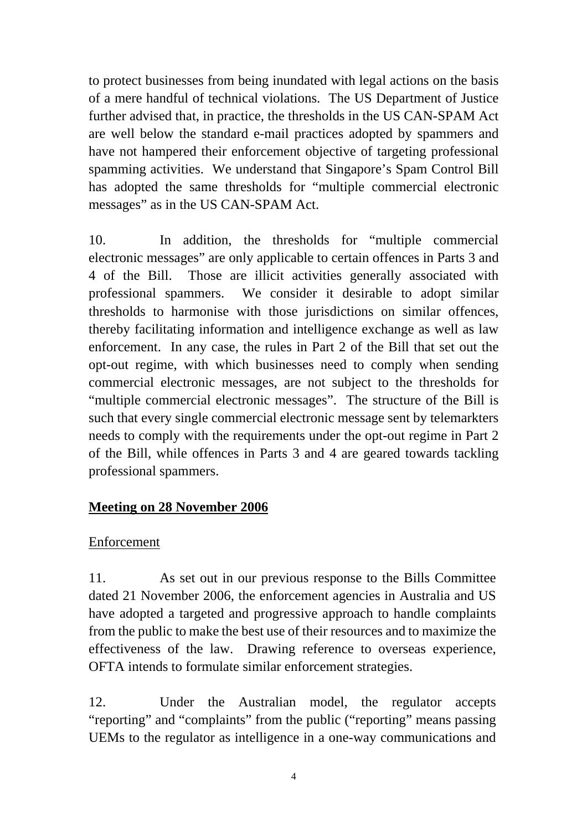to protect businesses from being inundated with legal actions on the basis of a mere handful of technical violations. The US Department of Justice further advised that, in practice, the thresholds in the US CAN-SPAM Act are well below the standard e-mail practices adopted by spammers and have not hampered their enforcement objective of targeting professional spamming activities. We understand that Singapore's Spam Control Bill has adopted the same thresholds for "multiple commercial electronic messages" as in the US CAN-SPAM Act.

10. In addition, the thresholds for "multiple commercial electronic messages" are only applicable to certain offences in Parts 3 and 4 of the Bill. Those are illicit activities generally associated with professional spammers. We consider it desirable to adopt similar thresholds to harmonise with those jurisdictions on similar offences, thereby facilitating information and intelligence exchange as well as law enforcement. In any case, the rules in Part 2 of the Bill that set out the opt-out regime, with which businesses need to comply when sending commercial electronic messages, are not subject to the thresholds for "multiple commercial electronic messages". The structure of the Bill is such that every single commercial electronic message sent by telemarkters needs to comply with the requirements under the opt-out regime in Part 2 of the Bill, while offences in Parts 3 and 4 are geared towards tackling professional spammers.

# **Meeting on 28 November 2006**

### Enforcement

11. As set out in our previous response to the Bills Committee dated 21 November 2006, the enforcement agencies in Australia and US have adopted a targeted and progressive approach to handle complaints from the public to make the best use of their resources and to maximize the effectiveness of the law. Drawing reference to overseas experience, OFTA intends to formulate similar enforcement strategies.

12. Under the Australian model, the regulator accepts "reporting" and "complaints" from the public ("reporting" means passing UEMs to the regulator as intelligence in a one-way communications and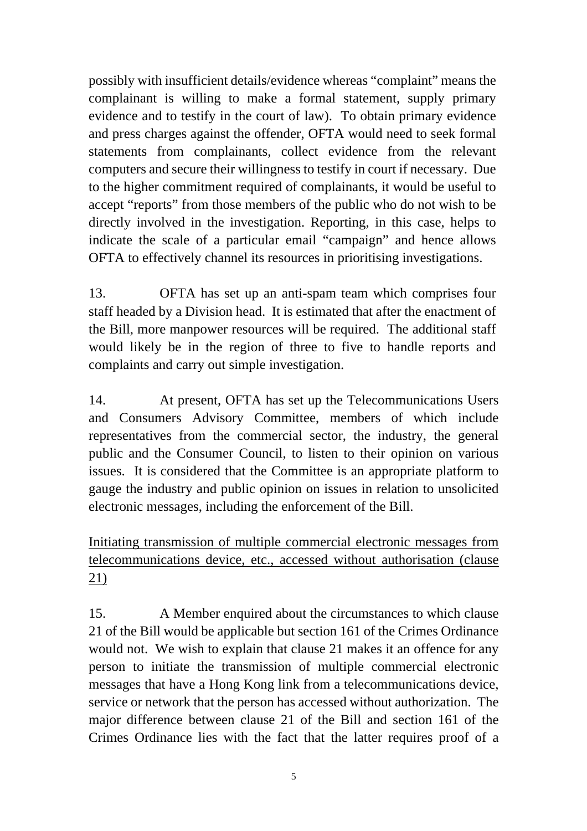possibly with insufficient details/evidence whereas "complaint" means the complainant is willing to make a formal statement, supply primary evidence and to testify in the court of law). To obtain primary evidence and press charges against the offender, OFTA would need to seek formal statements from complainants, collect evidence from the relevant computers and secure their willingness to testify in court if necessary. Due to the higher commitment required of complainants, it would be useful to accept "reports" from those members of the public who do not wish to be directly involved in the investigation. Reporting, in this case, helps to indicate the scale of a particular email "campaign" and hence allows OFTA to effectively channel its resources in prioritising investigations.

13. OFTA has set up an anti-spam team which comprises four staff headed by a Division head. It is estimated that after the enactment of the Bill, more manpower resources will be required. The additional staff would likely be in the region of three to five to handle reports and complaints and carry out simple investigation.

14. At present, OFTA has set up the Telecommunications Users and Consumers Advisory Committee, members of which include representatives from the commercial sector, the industry, the general public and the Consumer Council, to listen to their opinion on various issues. It is considered that the Committee is an appropriate platform to gauge the industry and public opinion on issues in relation to unsolicited electronic messages, including the enforcement of the Bill.

Initiating transmission of multiple commercial electronic messages from telecommunications device, etc., accessed without authorisation (clause 21)

15. A Member enquired about the circumstances to which clause 21 of the Bill would be applicable but section 161 of the Crimes Ordinance would not. We wish to explain that clause 21 makes it an offence for any person to initiate the transmission of multiple commercial electronic messages that have a Hong Kong link from a telecommunications device, service or network that the person has accessed without authorization. The major difference between clause 21 of the Bill and section 161 of the Crimes Ordinance lies with the fact that the latter requires proof of a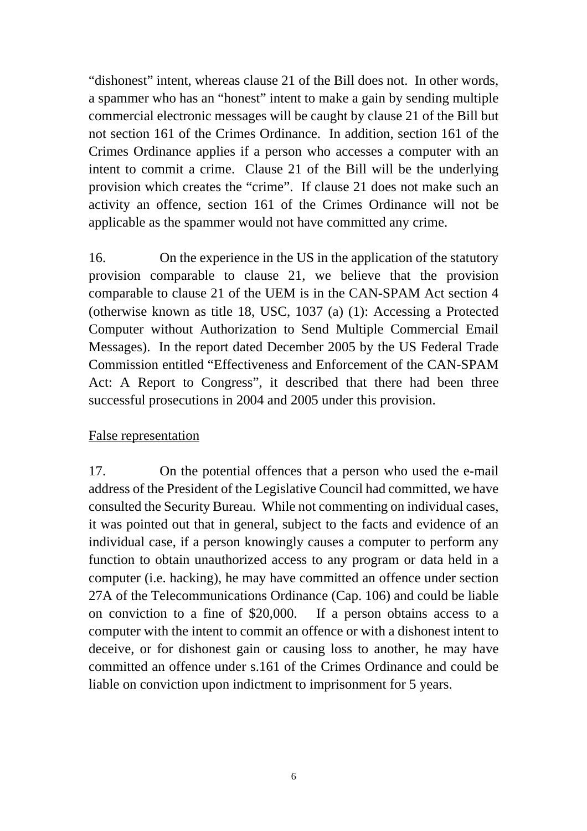"dishonest" intent, whereas clause 21 of the Bill does not. In other words, a spammer who has an "honest" intent to make a gain by sending multiple commercial electronic messages will be caught by clause 21 of the Bill but not section 161 of the Crimes Ordinance. In addition, section 161 of the Crimes Ordinance applies if a person who accesses a computer with an intent to commit a crime. Clause 21 of the Bill will be the underlying provision which creates the "crime". If clause 21 does not make such an activity an offence, section 161 of the Crimes Ordinance will not be applicable as the spammer would not have committed any crime.

16. On the experience in the US in the application of the statutory provision comparable to clause 21, we believe that the provision comparable to clause 21 of the UEM is in the CAN-SPAM Act section 4 (otherwise known as title 18, USC, 1037 (a) (1): Accessing a Protected Computer without Authorization to Send Multiple Commercial Email Messages). In the report dated December 2005 by the US Federal Trade Commission entitled "Effectiveness and Enforcement of the CAN-SPAM Act: A Report to Congress", it described that there had been three successful prosecutions in 2004 and 2005 under this provision.

### False representation

17. On the potential offences that a person who used the e-mail address of the President of the Legislative Council had committed, we have consulted the Security Bureau. While not commenting on individual cases, it was pointed out that in general, subject to the facts and evidence of an individual case, if a person knowingly causes a computer to perform any function to obtain unauthorized access to any program or data held in a computer (i.e. hacking), he may have committed an offence under section 27A of the Telecommunications Ordinance (Cap. 106) and could be liable on conviction to a fine of \$20,000. If a person obtains access to a computer with the intent to commit an offence or with a dishonest intent to deceive, or for dishonest gain or causing loss to another, he may have committed an offence under s.161 of the Crimes Ordinance and could be liable on conviction upon indictment to imprisonment for 5 years.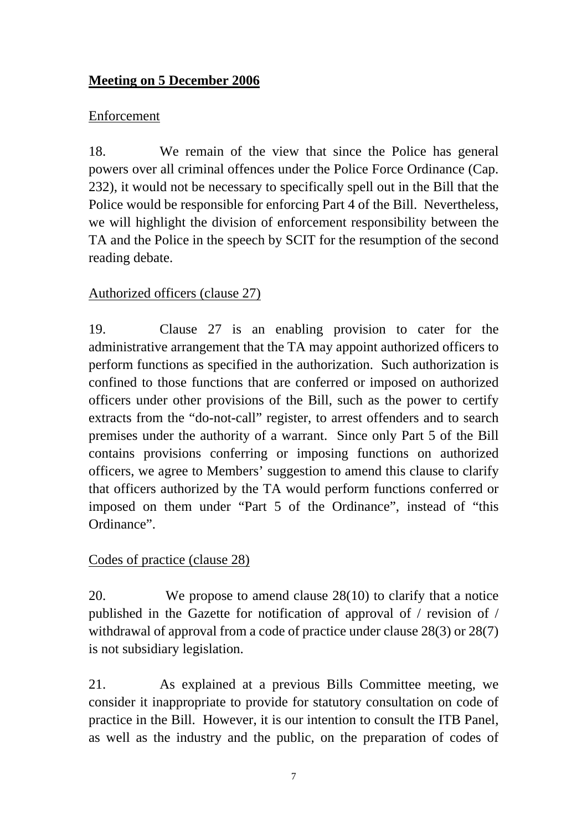# **Meeting on 5 December 2006**

### Enforcement

18. We remain of the view that since the Police has general powers over all criminal offences under the Police Force Ordinance (Cap. 232), it would not be necessary to specifically spell out in the Bill that the Police would be responsible for enforcing Part 4 of the Bill. Nevertheless, we will highlight the division of enforcement responsibility between the TA and the Police in the speech by SCIT for the resumption of the second reading debate.

# Authorized officers (clause 27)

19. Clause 27 is an enabling provision to cater for the administrative arrangement that the TA may appoint authorized officers to perform functions as specified in the authorization. Such authorization is confined to those functions that are conferred or imposed on authorized officers under other provisions of the Bill, such as the power to certify extracts from the "do-not-call" register, to arrest offenders and to search premises under the authority of a warrant. Since only Part 5 of the Bill contains provisions conferring or imposing functions on authorized officers, we agree to Members' suggestion to amend this clause to clarify that officers authorized by the TA would perform functions conferred or imposed on them under "Part 5 of the Ordinance", instead of "this Ordinance".

### Codes of practice (clause 28)

20. We propose to amend clause 28(10) to clarify that a notice published in the Gazette for notification of approval of / revision of / withdrawal of approval from a code of practice under clause 28(3) or 28(7) is not subsidiary legislation.

21. As explained at a previous Bills Committee meeting, we consider it inappropriate to provide for statutory consultation on code of practice in the Bill. However, it is our intention to consult the ITB Panel, as well as the industry and the public, on the preparation of codes of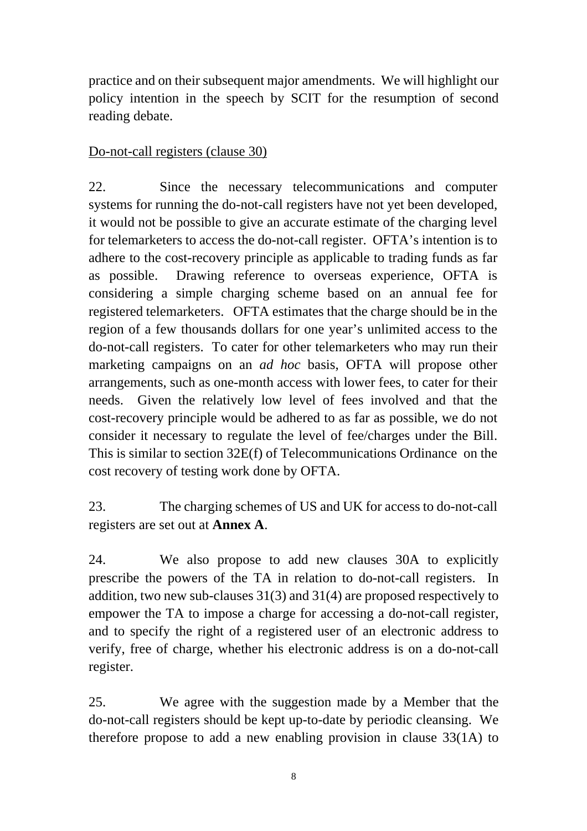practice and on their subsequent major amendments. We will highlight our policy intention in the speech by SCIT for the resumption of second reading debate.

### Do-not-call registers (clause 30)

22. Since the necessary telecommunications and computer systems for running the do-not-call registers have not yet been developed, it would not be possible to give an accurate estimate of the charging level for telemarketers to access the do-not-call register. OFTA's intention is to adhere to the cost-recovery principle as applicable to trading funds as far as possible. Drawing reference to overseas experience, OFTA is considering a simple charging scheme based on an annual fee for registered telemarketers. OFTA estimates that the charge should be in the region of a few thousands dollars for one year's unlimited access to the do-not-call registers. To cater for other telemarketers who may run their marketing campaigns on an *ad hoc* basis, OFTA will propose other arrangements, such as one-month access with lower fees, to cater for their needs. Given the relatively low level of fees involved and that the cost-recovery principle would be adhered to as far as possible, we do not consider it necessary to regulate the level of fee/charges under the Bill. This is similar to section 32E(f) of Telecommunications Ordinance on the cost recovery of testing work done by OFTA.

23. The charging schemes of US and UK for access to do-not-call registers are set out at **Annex A**.

24. We also propose to add new clauses 30A to explicitly prescribe the powers of the TA in relation to do-not-call registers. In addition, two new sub-clauses 31(3) and 31(4) are proposed respectively to empower the TA to impose a charge for accessing a do-not-call register, and to specify the right of a registered user of an electronic address to verify, free of charge, whether his electronic address is on a do-not-call register.

25. We agree with the suggestion made by a Member that the do-not-call registers should be kept up-to-date by periodic cleansing. We therefore propose to add a new enabling provision in clause 33(1A) to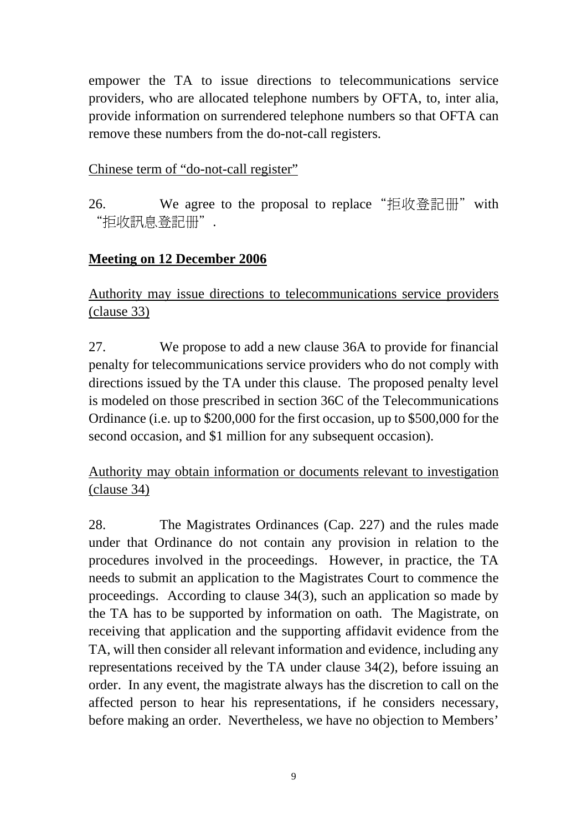empower the TA to issue directions to telecommunications service providers, who are allocated telephone numbers by OFTA, to, inter alia, provide information on surrendered telephone numbers so that OFTA can remove these numbers from the do-not-call registers.

### Chinese term of "do-not-call register"

26. We agree to the proposal to replace "拒收登記冊" with "拒收訊息登記册".

# **Meeting on 12 December 2006**

Authority may issue directions to telecommunications service providers (clause 33)

27. We propose to add a new clause 36A to provide for financial penalty for telecommunications service providers who do not comply with directions issued by the TA under this clause. The proposed penalty level is modeled on those prescribed in section 36C of the Telecommunications Ordinance (i.e. up to \$200,000 for the first occasion, up to \$500,000 for the second occasion, and \$1 million for any subsequent occasion).

Authority may obtain information or documents relevant to investigation (clause 34)

28. The Magistrates Ordinances (Cap. 227) and the rules made under that Ordinance do not contain any provision in relation to the procedures involved in the proceedings. However, in practice, the TA needs to submit an application to the Magistrates Court to commence the proceedings. According to clause 34(3), such an application so made by the TA has to be supported by information on oath. The Magistrate, on receiving that application and the supporting affidavit evidence from the TA, will then consider all relevant information and evidence, including any representations received by the TA under clause 34(2), before issuing an order. In any event, the magistrate always has the discretion to call on the affected person to hear his representations, if he considers necessary, before making an order. Nevertheless, we have no objection to Members'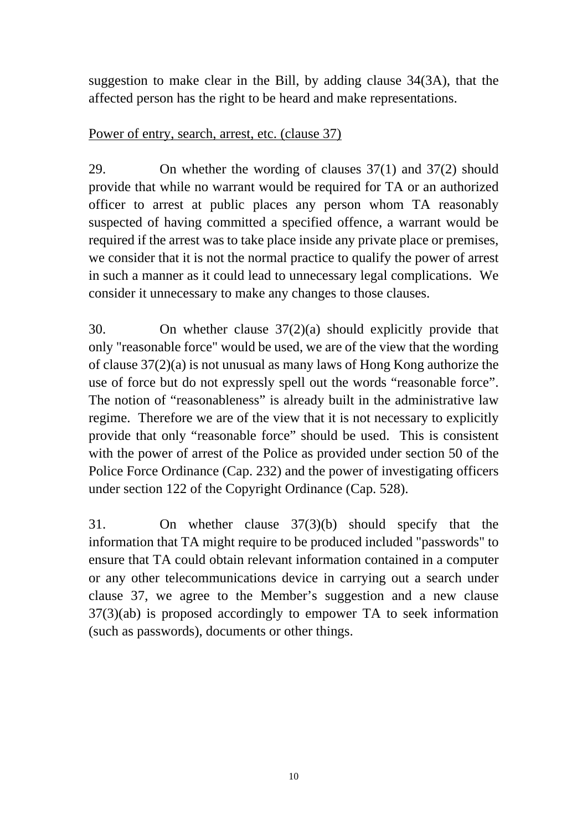suggestion to make clear in the Bill, by adding clause 34(3A), that the affected person has the right to be heard and make representations.

### Power of entry, search, arrest, etc. (clause 37)

29. On whether the wording of clauses 37(1) and 37(2) should provide that while no warrant would be required for TA or an authorized officer to arrest at public places any person whom TA reasonably suspected of having committed a specified offence, a warrant would be required if the arrest was to take place inside any private place or premises, we consider that it is not the normal practice to qualify the power of arrest in such a manner as it could lead to unnecessary legal complications. We consider it unnecessary to make any changes to those clauses.

30. On whether clause 37(2)(a) should explicitly provide that only "reasonable force" would be used, we are of the view that the wording of clause 37(2)(a) is not unusual as many laws of Hong Kong authorize the use of force but do not expressly spell out the words "reasonable force". The notion of "reasonableness" is already built in the administrative law regime. Therefore we are of the view that it is not necessary to explicitly provide that only "reasonable force" should be used. This is consistent with the power of arrest of the Police as provided under section 50 of the Police Force Ordinance (Cap. 232) and the power of investigating officers under section 122 of the Copyright Ordinance (Cap. 528).

31. On whether clause 37(3)(b) should specify that the information that TA might require to be produced included "passwords" to ensure that TA could obtain relevant information contained in a computer or any other telecommunications device in carrying out a search under clause 37, we agree to the Member's suggestion and a new clause 37(3)(ab) is proposed accordingly to empower TA to seek information (such as passwords), documents or other things.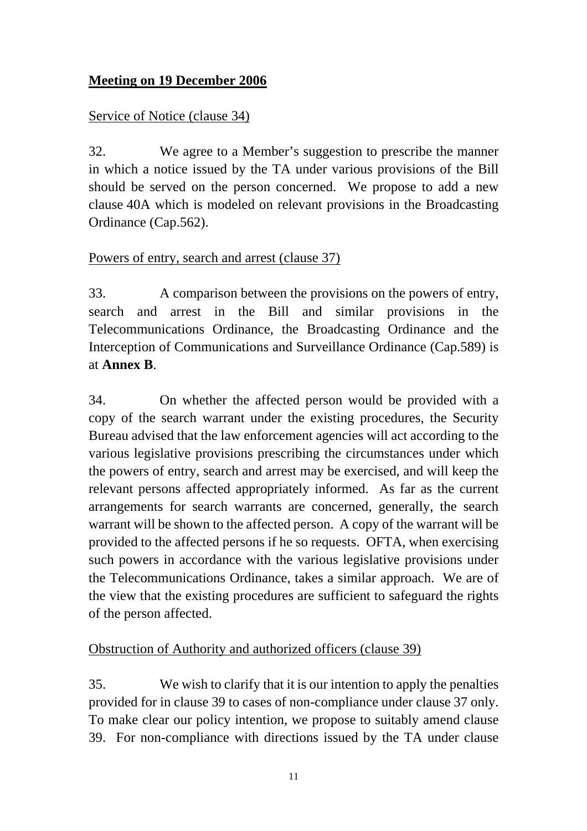# **Meeting on 19 December 2006**

### Service of Notice (clause 34)

32. We agree to a Member's suggestion to prescribe the manner in which a notice issued by the TA under various provisions of the Bill should be served on the person concerned. We propose to add a new clause 40A which is modeled on relevant provisions in the Broadcasting Ordinance (Cap.562).

### Powers of entry, search and arrest (clause 37)

33. A comparison between the provisions on the powers of entry, search and arrest in the Bill and similar provisions in the Telecommunications Ordinance, the Broadcasting Ordinance and the Interception of Communications and Surveillance Ordinance (Cap.589) is at **Annex B**.

34. On whether the affected person would be provided with a copy of the search warrant under the existing procedures, the Security Bureau advised that the law enforcement agencies will act according to the various legislative provisions prescribing the circumstances under which the powers of entry, search and arrest may be exercised, and will keep the relevant persons affected appropriately informed. As far as the current arrangements for search warrants are concerned, generally, the search warrant will be shown to the affected person. A copy of the warrant will be provided to the affected persons if he so requests. OFTA, when exercising such powers in accordance with the various legislative provisions under the Telecommunications Ordinance, takes a similar approach. We are of the view that the existing procedures are sufficient to safeguard the rights of the person affected.

### Obstruction of Authority and authorized officers (clause 39)

35. We wish to clarify that it is our intention to apply the penalties provided for in clause 39 to cases of non-compliance under clause 37 only. To make clear our policy intention, we propose to suitably amend clause 39. For non-compliance with directions issued by the TA under clause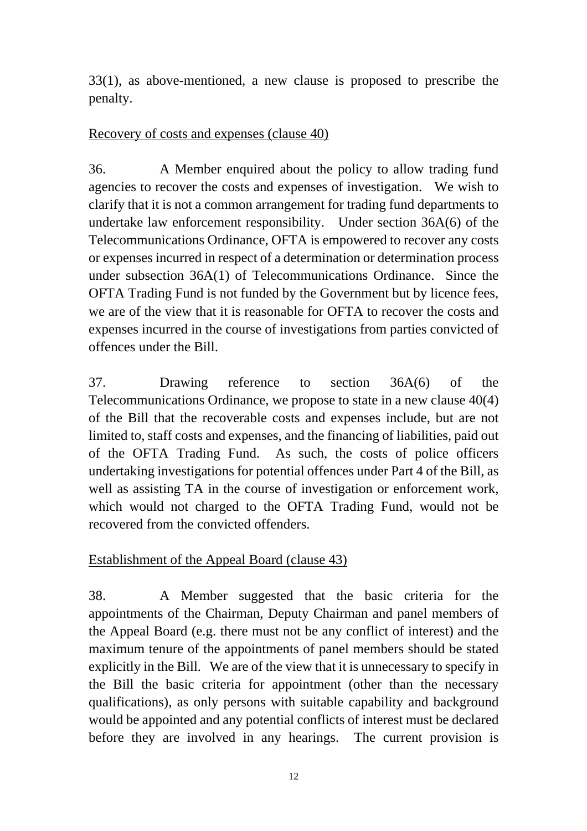33(1), as above-mentioned, a new clause is proposed to prescribe the penalty.

### Recovery of costs and expenses (clause 40)

36. A Member enquired about the policy to allow trading fund agencies to recover the costs and expenses of investigation. We wish to clarify that it is not a common arrangement for trading fund departments to undertake law enforcement responsibility. Under section 36A(6) of the Telecommunications Ordinance, OFTA is empowered to recover any costs or expenses incurred in respect of a determination or determination process under subsection 36A(1) of Telecommunications Ordinance. Since the OFTA Trading Fund is not funded by the Government but by licence fees, we are of the view that it is reasonable for OFTA to recover the costs and expenses incurred in the course of investigations from parties convicted of offences under the Bill.

37. Drawing reference to section 36A(6) of the Telecommunications Ordinance, we propose to state in a new clause 40(4) of the Bill that the recoverable costs and expenses include, but are not limited to, staff costs and expenses, and the financing of liabilities, paid out of the OFTA Trading Fund. As such, the costs of police officers undertaking investigations for potential offences under Part 4 of the Bill, as well as assisting TA in the course of investigation or enforcement work, which would not charged to the OFTA Trading Fund, would not be recovered from the convicted offenders.

# Establishment of the Appeal Board (clause 43)

38. A Member suggested that the basic criteria for the appointments of the Chairman, Deputy Chairman and panel members of the Appeal Board (e.g. there must not be any conflict of interest) and the maximum tenure of the appointments of panel members should be stated explicitly in the Bill. We are of the view that it is unnecessary to specify in the Bill the basic criteria for appointment (other than the necessary qualifications), as only persons with suitable capability and background would be appointed and any potential conflicts of interest must be declared before they are involved in any hearings. The current provision is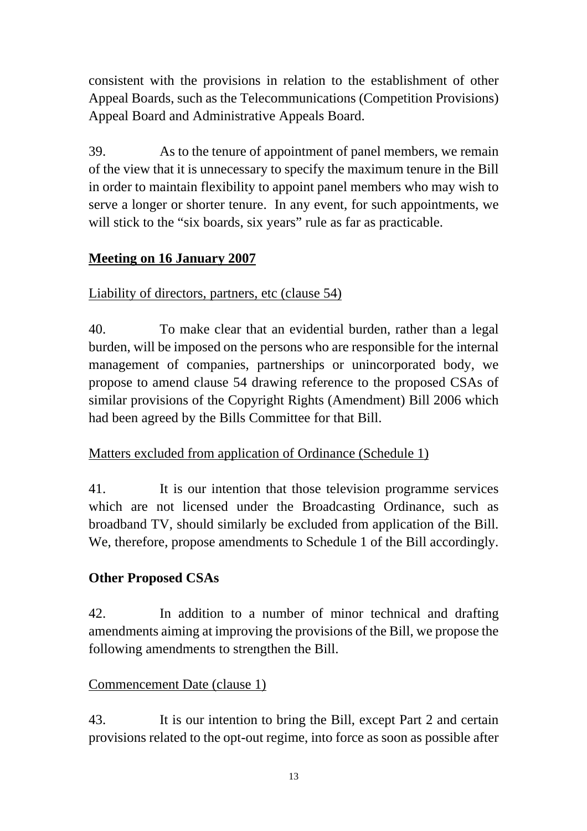consistent with the provisions in relation to the establishment of other Appeal Boards, such as the Telecommunications (Competition Provisions) Appeal Board and Administrative Appeals Board.

39. As to the tenure of appointment of panel members, we remain of the view that it is unnecessary to specify the maximum tenure in the Bill in order to maintain flexibility to appoint panel members who may wish to serve a longer or shorter tenure. In any event, for such appointments, we will stick to the "six boards, six years" rule as far as practicable.

# **Meeting on 16 January 2007**

# Liability of directors, partners, etc (clause 54)

40. To make clear that an evidential burden, rather than a legal burden, will be imposed on the persons who are responsible for the internal management of companies, partnerships or unincorporated body, we propose to amend clause 54 drawing reference to the proposed CSAs of similar provisions of the Copyright Rights (Amendment) Bill 2006 which had been agreed by the Bills Committee for that Bill.

# Matters excluded from application of Ordinance (Schedule 1)

41. It is our intention that those television programme services which are not licensed under the Broadcasting Ordinance, such as broadband TV, should similarly be excluded from application of the Bill. We, therefore, propose amendments to Schedule 1 of the Bill accordingly.

# **Other Proposed CSAs**

42. In addition to a number of minor technical and drafting amendments aiming at improving the provisions of the Bill, we propose the following amendments to strengthen the Bill.

### Commencement Date (clause 1)

43. It is our intention to bring the Bill, except Part 2 and certain provisions related to the opt-out regime, into force as soon as possible after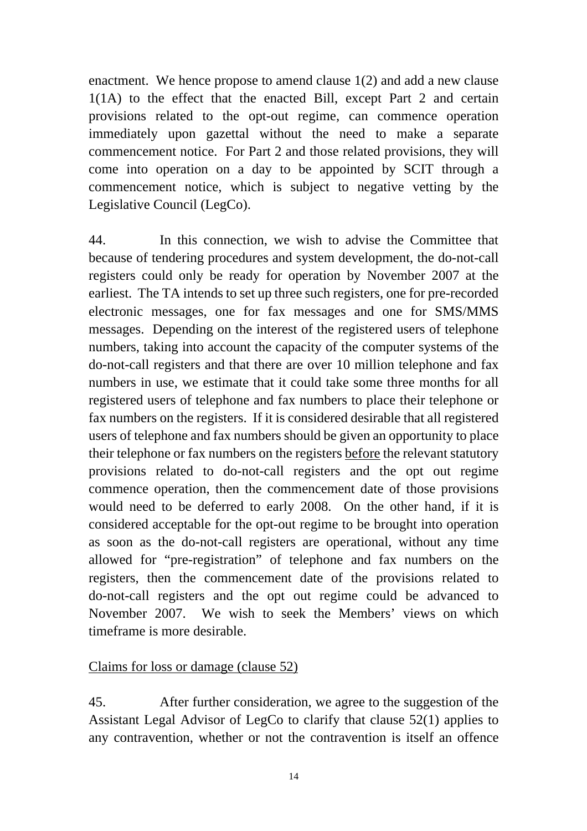enactment. We hence propose to amend clause 1(2) and add a new clause 1(1A) to the effect that the enacted Bill, except Part 2 and certain provisions related to the opt-out regime, can commence operation immediately upon gazettal without the need to make a separate commencement notice. For Part 2 and those related provisions, they will come into operation on a day to be appointed by SCIT through a commencement notice, which is subject to negative vetting by the Legislative Council (LegCo).

44. In this connection, we wish to advise the Committee that because of tendering procedures and system development, the do-not-call registers could only be ready for operation by November 2007 at the earliest. The TA intends to set up three such registers, one for pre-recorded electronic messages, one for fax messages and one for SMS/MMS messages. Depending on the interest of the registered users of telephone numbers, taking into account the capacity of the computer systems of the do-not-call registers and that there are over 10 million telephone and fax numbers in use, we estimate that it could take some three months for all registered users of telephone and fax numbers to place their telephone or fax numbers on the registers. If it is considered desirable that all registered users of telephone and fax numbers should be given an opportunity to place their telephone or fax numbers on the registers before the relevant statutory provisions related to do-not-call registers and the opt out regime commence operation, then the commencement date of those provisions would need to be deferred to early 2008. On the other hand, if it is considered acceptable for the opt-out regime to be brought into operation as soon as the do-not-call registers are operational, without any time allowed for "pre-registration" of telephone and fax numbers on the registers, then the commencement date of the provisions related to do-not-call registers and the opt out regime could be advanced to November 2007. We wish to seek the Members' views on which timeframe is more desirable.

### Claims for loss or damage (clause 52)

45. After further consideration, we agree to the suggestion of the Assistant Legal Advisor of LegCo to clarify that clause 52(1) applies to any contravention, whether or not the contravention is itself an offence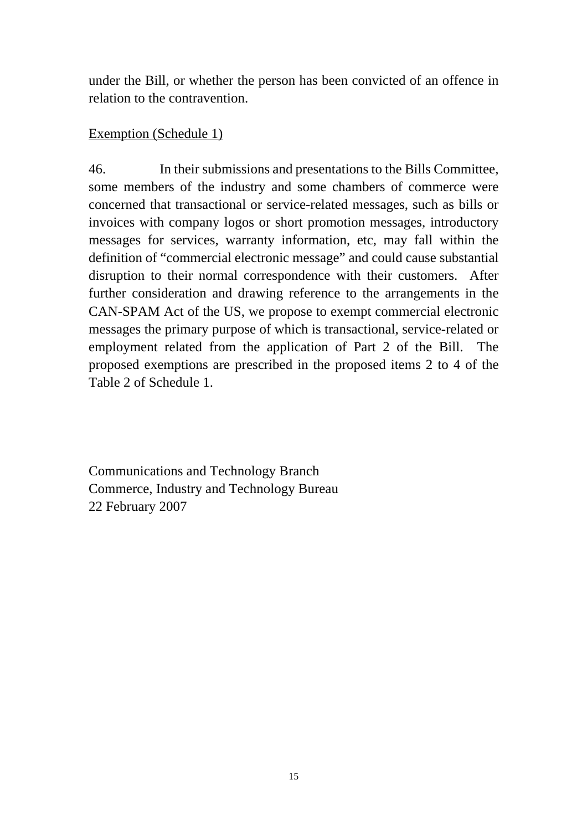under the Bill, or whether the person has been convicted of an offence in relation to the contravention.

### Exemption (Schedule 1)

46. In their submissions and presentations to the Bills Committee, some members of the industry and some chambers of commerce were concerned that transactional or service-related messages, such as bills or invoices with company logos or short promotion messages, introductory messages for services, warranty information, etc, may fall within the definition of "commercial electronic message" and could cause substantial disruption to their normal correspondence with their customers. After further consideration and drawing reference to the arrangements in the CAN-SPAM Act of the US, we propose to exempt commercial electronic messages the primary purpose of which is transactional, service-related or employment related from the application of Part 2 of the Bill. The proposed exemptions are prescribed in the proposed items 2 to 4 of the Table 2 of Schedule 1.

Communications and Technology Branch Commerce, Industry and Technology Bureau 22 February 2007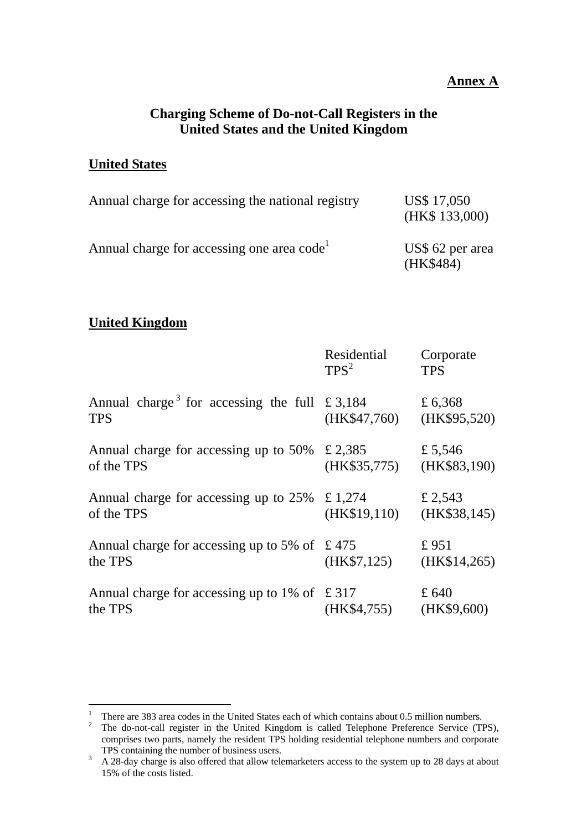#### **Annex A**

### **Charging Scheme of Do-not-Call Registers in the United States and the United Kingdom**

#### **United States**

| Annual charge for accessing the national registry      | US\$ 17,050<br>(HK\$ 133,000) |
|--------------------------------------------------------|-------------------------------|
| Annual charge for accessing one area code <sup>1</sup> | US\$ 62 per area<br>(HK\$484) |

### **United Kingdom**

|                                                                        | Residential<br>TPS <sup>2</sup> | Corporate<br><b>TPS</b> |
|------------------------------------------------------------------------|---------------------------------|-------------------------|
| Annual charge <sup>3</sup> for accessing the full £3,184<br><b>TPS</b> | (HK\$47,760)                    | £ 6,368<br>(HK\$95,520) |
| Annual charge for accessing up to 50%<br>of the TPS                    | £ 2,385<br>(HK\$35,775)         | £ 5,546<br>(HK\$83,190) |
| Annual charge for accessing up to 25%<br>of the TPS                    | £ 1,274<br>(HK\$19,110)         | £ 2,543<br>(HK\$38,145) |
| Annual charge for accessing up to 5% of $\pm$ 475<br>the TPS           | (HK\$7,125)                     | £951<br>(HK\$14,265)    |
| Annual charge for accessing up to 1% of $\pm$ 317<br>the TPS           | (HK\$4,755)                     | £640<br>(HK\$9,600)     |

 $\frac{1}{1}$ There are 383 area codes in the United States each of which contains about 0.5 million numbers. 2

<sup>&</sup>lt;sup>2</sup> The do-not-call register in the United Kingdom is called Telephone Preference Service (TPS), comprises two parts, namely the resident TPS holding residential telephone numbers and corporate TPS containing the number of business users.<br> $\frac{3}{4}$  28-day charge is also offered that allow tele

A 28-day charge is also offered that allow telemarketers access to the system up to 28 days at about 15% of the costs listed.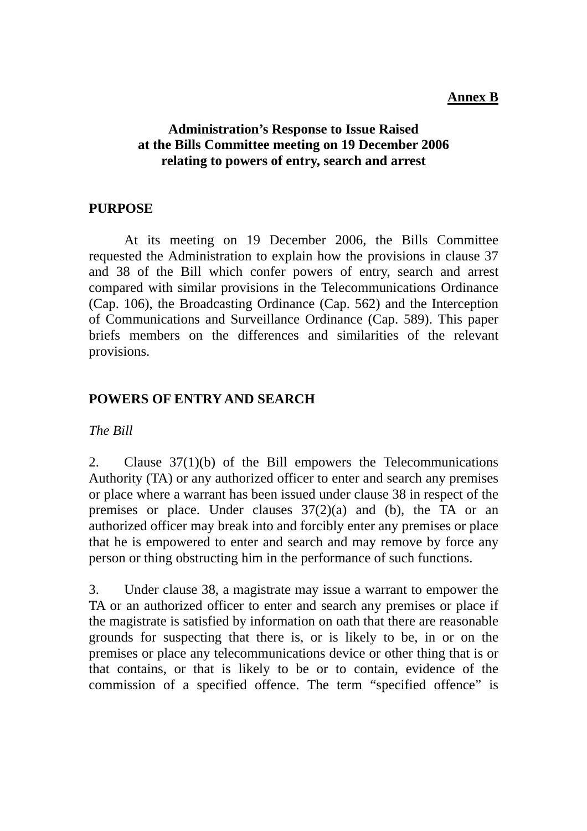#### **Annex B**

### **Administration's Response to Issue Raised at the Bills Committee meeting on 19 December 2006 relating to powers of entry, search and arrest**

### **PURPOSE**

 At its meeting on 19 December 2006, the Bills Committee requested the Administration to explain how the provisions in clause 37 and 38 of the Bill which confer powers of entry, search and arrest compared with similar provisions in the Telecommunications Ordinance (Cap. 106), the Broadcasting Ordinance (Cap. 562) and the Interception of Communications and Surveillance Ordinance (Cap. 589). This paper briefs members on the differences and similarities of the relevant provisions.

### **POWERS OF ENTRY AND SEARCH**

*The Bill*

2. Clause 37(1)(b) of the Bill empowers the Telecommunications Authority (TA) or any authorized officer to enter and search any premises or place where a warrant has been issued under clause 38 in respect of the premises or place. Under clauses 37(2)(a) and (b), the TA or an authorized officer may break into and forcibly enter any premises or place that he is empowered to enter and search and may remove by force any person or thing obstructing him in the performance of such functions.

3. Under clause 38, a magistrate may issue a warrant to empower the TA or an authorized officer to enter and search any premises or place if the magistrate is satisfied by information on oath that there are reasonable grounds for suspecting that there is, or is likely to be, in or on the premises or place any telecommunications device or other thing that is or that contains, or that is likely to be or to contain, evidence of the commission of a specified offence. The term "specified offence" is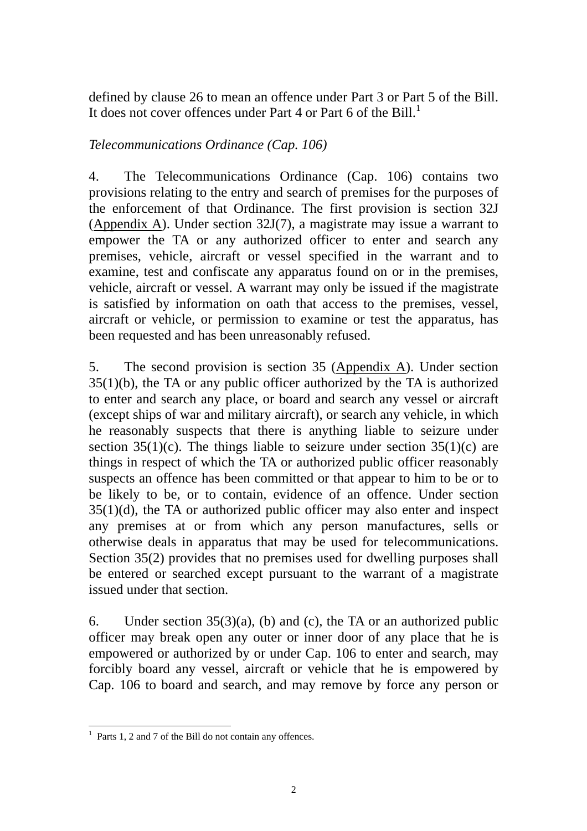defined by clause 26 to mean an offence under Part 3 or Part 5 of the Bill. It does not cover offences under Part 4 or Part 6 of the Bill.<sup>1</sup>

### *Telecommunications Ordinance (Cap. 106)*

4. The Telecommunications Ordinance (Cap. 106) contains two provisions relating to the entry and search of premises for the purposes of the enforcement of that Ordinance. The first provision is section 32J (Appendix A). Under section 32J(7), a magistrate may issue a warrant to empower the TA or any authorized officer to enter and search any premises, vehicle, aircraft or vessel specified in the warrant and to examine, test and confiscate any apparatus found on or in the premises, vehicle, aircraft or vessel. A warrant may only be issued if the magistrate is satisfied by information on oath that access to the premises, vessel, aircraft or vehicle, or permission to examine or test the apparatus, has been requested and has been unreasonably refused.

5. The second provision is section 35 (Appendix A). Under section 35(1)(b), the TA or any public officer authorized by the TA is authorized to enter and search any place, or board and search any vessel or aircraft (except ships of war and military aircraft), or search any vehicle, in which he reasonably suspects that there is anything liable to seizure under section  $35(1)(c)$ . The things liable to seizure under section  $35(1)(c)$  are things in respect of which the TA or authorized public officer reasonably suspects an offence has been committed or that appear to him to be or to be likely to be, or to contain, evidence of an offence. Under section 35(1)(d), the TA or authorized public officer may also enter and inspect any premises at or from which any person manufactures, sells or otherwise deals in apparatus that may be used for telecommunications. Section 35(2) provides that no premises used for dwelling purposes shall be entered or searched except pursuant to the warrant of a magistrate issued under that section.

6. Under section 35(3)(a), (b) and (c), the TA or an authorized public officer may break open any outer or inner door of any place that he is empowered or authorized by or under Cap. 106 to enter and search, may forcibly board any vessel, aircraft or vehicle that he is empowered by Cap. 106 to board and search, and may remove by force any person or

<sup>&</sup>lt;sup>1</sup> Parts 1, 2 and 7 of the Bill do not contain any offences.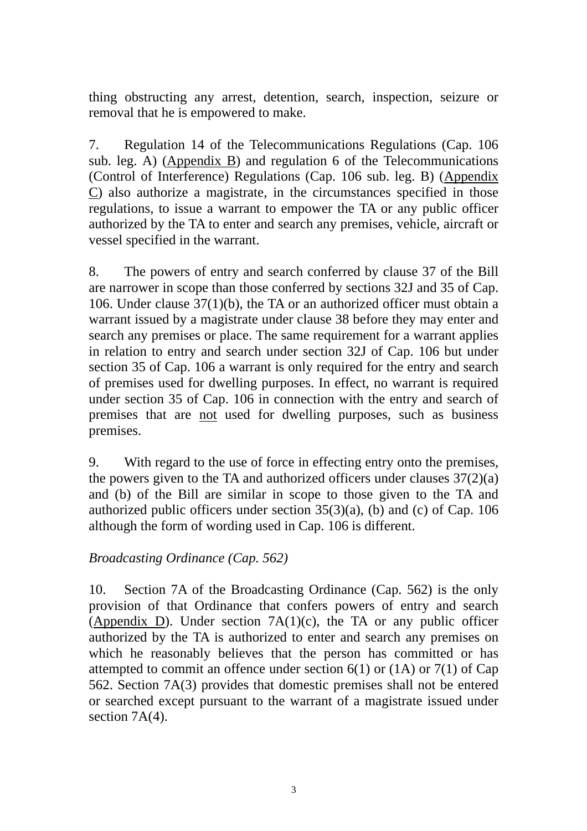thing obstructing any arrest, detention, search, inspection, seizure or removal that he is empowered to make.

7. Regulation 14 of the Telecommunications Regulations (Cap. 106 sub. leg. A) (Appendix B) and regulation 6 of the Telecommunications (Control of Interference) Regulations (Cap. 106 sub. leg. B) (Appendix C) also authorize a magistrate, in the circumstances specified in those regulations, to issue a warrant to empower the TA or any public officer authorized by the TA to enter and search any premises, vehicle, aircraft or vessel specified in the warrant.

8. The powers of entry and search conferred by clause 37 of the Bill are narrower in scope than those conferred by sections 32J and 35 of Cap. 106. Under clause 37(1)(b), the TA or an authorized officer must obtain a warrant issued by a magistrate under clause 38 before they may enter and search any premises or place. The same requirement for a warrant applies in relation to entry and search under section 32J of Cap. 106 but under section 35 of Cap. 106 a warrant is only required for the entry and search of premises used for dwelling purposes. In effect, no warrant is required under section 35 of Cap. 106 in connection with the entry and search of premises that are not used for dwelling purposes, such as business premises.

9. With regard to the use of force in effecting entry onto the premises, the powers given to the TA and authorized officers under clauses  $37(2)(a)$ and (b) of the Bill are similar in scope to those given to the TA and authorized public officers under section 35(3)(a), (b) and (c) of Cap. 106 although the form of wording used in Cap. 106 is different.

### *Broadcasting Ordinance (Cap. 562)*

10. Section 7A of the Broadcasting Ordinance (Cap. 562) is the only provision of that Ordinance that confers powers of entry and search (Appendix D). Under section  $7A(1)(c)$ , the TA or any public officer authorized by the TA is authorized to enter and search any premises on which he reasonably believes that the person has committed or has attempted to commit an offence under section  $6(1)$  or  $(1)$  or  $7(1)$  of Cap 562. Section 7A(3) provides that domestic premises shall not be entered or searched except pursuant to the warrant of a magistrate issued under section 7A(4).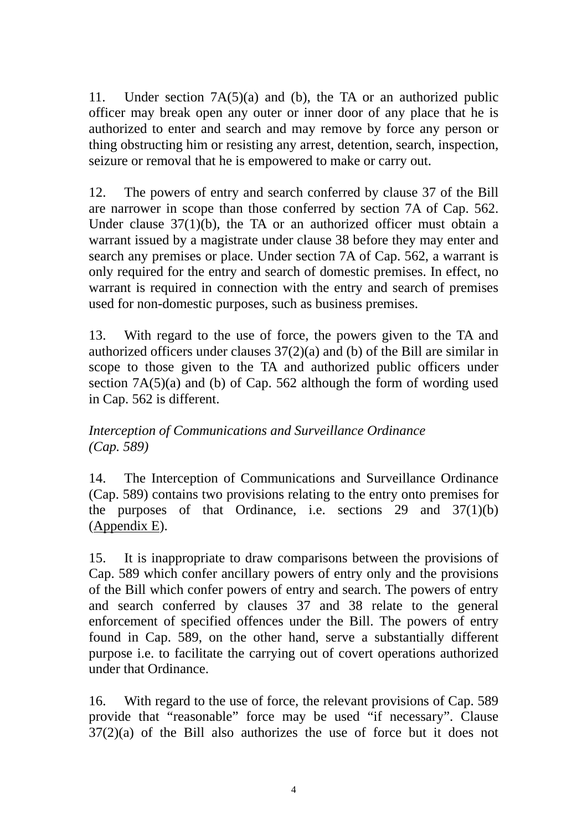11. Under section 7A(5)(a) and (b), the TA or an authorized public officer may break open any outer or inner door of any place that he is authorized to enter and search and may remove by force any person or thing obstructing him or resisting any arrest, detention, search, inspection, seizure or removal that he is empowered to make or carry out.

12. The powers of entry and search conferred by clause 37 of the Bill are narrower in scope than those conferred by section 7A of Cap. 562. Under clause 37(1)(b), the TA or an authorized officer must obtain a warrant issued by a magistrate under clause 38 before they may enter and search any premises or place. Under section 7A of Cap. 562, a warrant is only required for the entry and search of domestic premises. In effect, no warrant is required in connection with the entry and search of premises used for non-domestic purposes, such as business premises.

13. With regard to the use of force, the powers given to the TA and authorized officers under clauses 37(2)(a) and (b) of the Bill are similar in scope to those given to the TA and authorized public officers under section 7A(5)(a) and (b) of Cap. 562 although the form of wording used in Cap. 562 is different.

### *Interception of Communications and Surveillance Ordinance (Cap. 589)*

14. The Interception of Communications and Surveillance Ordinance (Cap. 589) contains two provisions relating to the entry onto premises for the purposes of that Ordinance, i.e. sections 29 and  $37(1)(b)$ (Appendix E).

15. It is inappropriate to draw comparisons between the provisions of Cap. 589 which confer ancillary powers of entry only and the provisions of the Bill which confer powers of entry and search. The powers of entry and search conferred by clauses 37 and 38 relate to the general enforcement of specified offences under the Bill. The powers of entry found in Cap. 589, on the other hand, serve a substantially different purpose i.e. to facilitate the carrying out of covert operations authorized under that Ordinance.

16. With regard to the use of force, the relevant provisions of Cap. 589 provide that "reasonable" force may be used "if necessary". Clause 37(2)(a) of the Bill also authorizes the use of force but it does not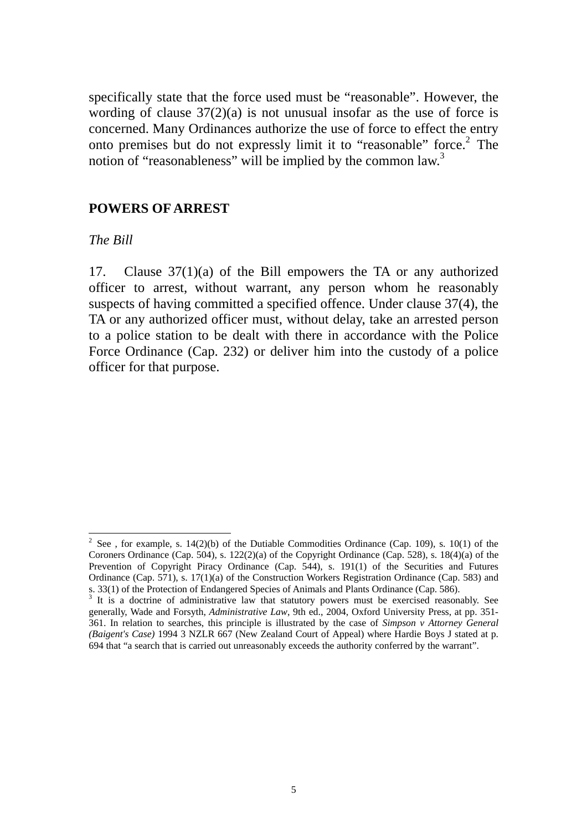specifically state that the force used must be "reasonable". However, the wording of clause  $37(2)(a)$  is not unusual insofar as the use of force is concerned. Many Ordinances authorize the use of force to effect the entry onto premises but do not expressly limit it to "reasonable" force.<sup>2</sup> The notion of "reasonableness" will be implied by the common law.<sup>3</sup>

### **POWERS OF ARREST**

#### *The Bill*

 $\overline{\phantom{a}}$ 

17. Clause 37(1)(a) of the Bill empowers the TA or any authorized officer to arrest, without warrant, any person whom he reasonably suspects of having committed a specified offence. Under clause 37(4), the TA or any authorized officer must, without delay, take an arrested person to a police station to be dealt with there in accordance with the Police Force Ordinance (Cap. 232) or deliver him into the custody of a police officer for that purpose.

<sup>&</sup>lt;sup>2</sup> See, for example, s. 14(2)(b) of the Dutiable Commodities Ordinance (Cap. 109), s. 10(1) of the Coroners Ordinance (Cap. 504), s. 122(2)(a) of the Copyright Ordinance (Cap. 528), s. 18(4)(a) of the Prevention of Copyright Piracy Ordinance (Cap. 544), s. 191(1) of the Securities and Futures Ordinance (Cap. 571), s. 17(1)(a) of the Construction Workers Registration Ordinance (Cap. 583) and s. 33(1) of the Protection of Endangered Species of Animals and Plants Ordinance (Cap. 586).

<sup>&</sup>lt;sup>3</sup> It is a doctrine of administrative law that statutory powers must be exercised reasonably. See generally, Wade and Forsyth, *Administrative Law*, 9th ed., 2004, Oxford University Press, at pp. 351- 361. In relation to searches, this principle is illustrated by the case of *Simpson v Attorney General (Baigent's Case)* 1994 3 NZLR 667 (New Zealand Court of Appeal) where Hardie Boys J stated at p. 694 that "a search that is carried out unreasonably exceeds the authority conferred by the warrant".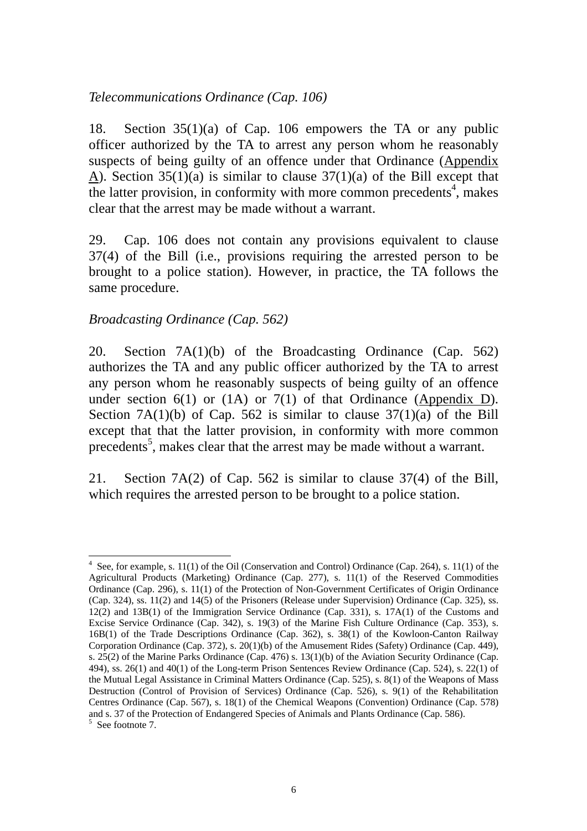#### *Telecommunications Ordinance (Cap. 106)*

18. Section 35(1)(a) of Cap. 106 empowers the TA or any public officer authorized by the TA to arrest any person whom he reasonably suspects of being guilty of an offence under that Ordinance (Appendix A). Section 35(1)(a) is similar to clause 37(1)(a) of the Bill except that the latter provision, in conformity with more common precedents<sup>4</sup>, makes clear that the arrest may be made without a warrant.

29. Cap. 106 does not contain any provisions equivalent to clause 37(4) of the Bill (i.e., provisions requiring the arrested person to be brought to a police station). However, in practice, the TA follows the same procedure.

#### *Broadcasting Ordinance (Cap. 562)*

20. Section 7A(1)(b) of the Broadcasting Ordinance (Cap. 562) authorizes the TA and any public officer authorized by the TA to arrest any person whom he reasonably suspects of being guilty of an offence under section  $6(1)$  or  $(1)$  or  $7(1)$  of that Ordinance (Appendix D). Section 7A(1)(b) of Cap. 562 is similar to clause  $37(1)(a)$  of the Bill except that that the latter provision, in conformity with more common precedents<sup>5</sup>, makes clear that the arrest may be made without a warrant.

21. Section 7A(2) of Cap. 562 is similar to clause 37(4) of the Bill, which requires the arrested person to be brought to a police station.

l  $4$  See, for example, s. 11(1) of the Oil (Conservation and Control) Ordinance (Cap. 264), s. 11(1) of the Agricultural Products (Marketing) Ordinance (Cap. 277), s. 11(1) of the Reserved Commodities Ordinance (Cap. 296), s. 11(1) of the Protection of Non-Government Certificates of Origin Ordinance (Cap. 324), ss. 11(2) and 14(5) of the Prisoners (Release under Supervision) Ordinance (Cap. 325), ss. 12(2) and 13B(1) of the Immigration Service Ordinance (Cap. 331), s. 17A(1) of the Customs and Excise Service Ordinance (Cap. 342), s. 19(3) of the Marine Fish Culture Ordinance (Cap. 353), s. 16B(1) of the Trade Descriptions Ordinance (Cap. 362), s. 38(1) of the Kowloon-Canton Railway Corporation Ordinance (Cap. 372), s. 20(1)(b) of the Amusement Rides (Safety) Ordinance (Cap. 449), s. 25(2) of the Marine Parks Ordinance (Cap. 476) s. 13(1)(b) of the Aviation Security Ordinance (Cap. 494), ss. 26(1) and 40(1) of the Long-term Prison Sentences Review Ordinance (Cap. 524), s. 22(1) of the Mutual Legal Assistance in Criminal Matters Ordinance (Cap. 525), s. 8(1) of the Weapons of Mass Destruction (Control of Provision of Services) Ordinance (Cap. 526), s. 9(1) of the Rehabilitation Centres Ordinance (Cap. 567), s. 18(1) of the Chemical Weapons (Convention) Ordinance (Cap. 578) and s. 37 of the Protection of Endangered Species of Animals and Plants Ordinance (Cap. 586). <sup>5</sup> See footnote 7.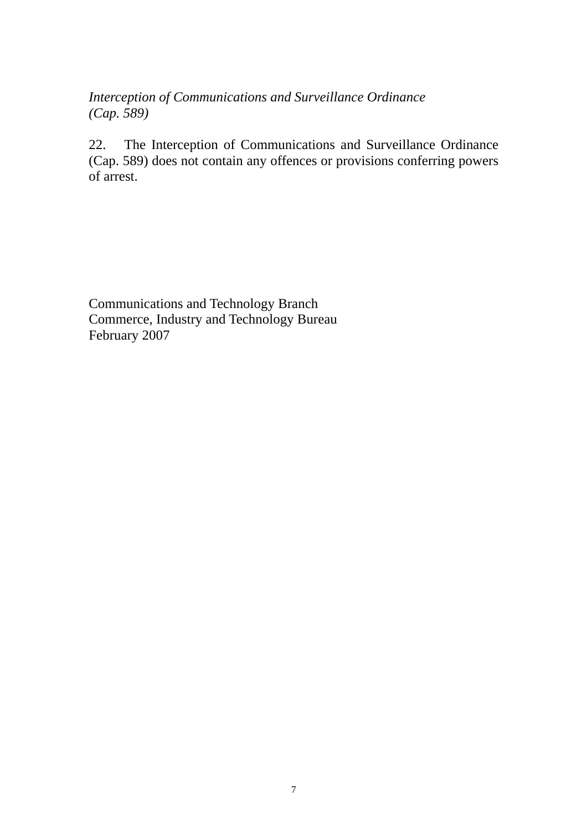*Interception of Communications and Surveillance Ordinance (Cap. 589)* 

22. The Interception of Communications and Surveillance Ordinance (Cap. 589) does not contain any offences or provisions conferring powers of arrest.

Communications and Technology Branch Commerce, Industry and Technology Bureau February 2007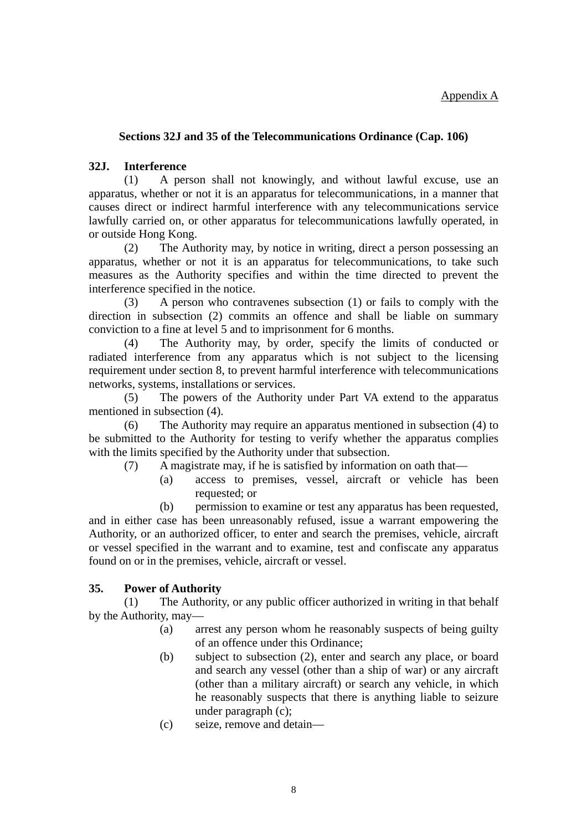#### Appendix A

#### **Sections 32J and 35 of the Telecommunications Ordinance (Cap. 106)**

#### **32J. Interference**

(1) A person shall not knowingly, and without lawful excuse, use an apparatus, whether or not it is an apparatus for telecommunications, in a manner that causes direct or indirect harmful interference with any telecommunications service lawfully carried on, or other apparatus for telecommunications lawfully operated, in or outside Hong Kong.

(2) The Authority may, by notice in writing, direct a person possessing an apparatus, whether or not it is an apparatus for telecommunications, to take such measures as the Authority specifies and within the time directed to prevent the interference specified in the notice.

(3) A person who contravenes subsection (1) or fails to comply with the direction in subsection (2) commits an offence and shall be liable on summary conviction to a fine at level 5 and to imprisonment for 6 months.

(4) The Authority may, by order, specify the limits of conducted or radiated interference from any apparatus which is not subject to the licensing requirement under section 8, to prevent harmful interference with telecommunications networks, systems, installations or services.

(5) The powers of the Authority under Part VA extend to the apparatus mentioned in subsection (4).

(6) The Authority may require an apparatus mentioned in subsection (4) to be submitted to the Authority for testing to verify whether the apparatus complies with the limits specified by the Authority under that subsection.

- (7) A magistrate may, if he is satisfied by information on oath that—
	- (a) access to premises, vessel, aircraft or vehicle has been requested; or

(b) permission to examine or test any apparatus has been requested, and in either case has been unreasonably refused, issue a warrant empowering the Authority, or an authorized officer, to enter and search the premises, vehicle, aircraft or vessel specified in the warrant and to examine, test and confiscate any apparatus found on or in the premises, vehicle, aircraft or vessel.

#### **35. Power of Authority**

(1) The Authority, or any public officer authorized in writing in that behalf by the Authority, may—

- (a) arrest any person whom he reasonably suspects of being guilty of an offence under this Ordinance;
- (b) subject to subsection (2), enter and search any place, or board and search any vessel (other than a ship of war) or any aircraft (other than a military aircraft) or search any vehicle, in which he reasonably suspects that there is anything liable to seizure under paragraph (c);
- (c) seize, remove and detain—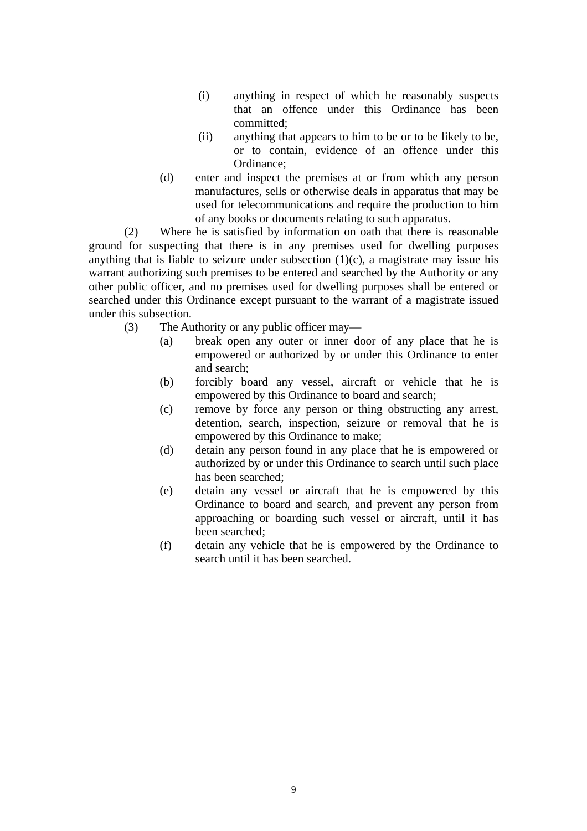- (i) anything in respect of which he reasonably suspects that an offence under this Ordinance has been committed;
- (ii) anything that appears to him to be or to be likely to be, or to contain, evidence of an offence under this Ordinance;
- (d) enter and inspect the premises at or from which any person manufactures, sells or otherwise deals in apparatus that may be used for telecommunications and require the production to him of any books or documents relating to such apparatus.

(2) Where he is satisfied by information on oath that there is reasonable ground for suspecting that there is in any premises used for dwelling purposes anything that is liable to seizure under subsection  $(1)(c)$ , a magistrate may issue his warrant authorizing such premises to be entered and searched by the Authority or any other public officer, and no premises used for dwelling purposes shall be entered or searched under this Ordinance except pursuant to the warrant of a magistrate issued under this subsection.

- (3) The Authority or any public officer may—
	- (a) break open any outer or inner door of any place that he is empowered or authorized by or under this Ordinance to enter and search;
	- (b) forcibly board any vessel, aircraft or vehicle that he is empowered by this Ordinance to board and search;
	- (c) remove by force any person or thing obstructing any arrest, detention, search, inspection, seizure or removal that he is empowered by this Ordinance to make;
	- (d) detain any person found in any place that he is empowered or authorized by or under this Ordinance to search until such place has been searched;
	- (e) detain any vessel or aircraft that he is empowered by this Ordinance to board and search, and prevent any person from approaching or boarding such vessel or aircraft, until it has been searched;
	- (f) detain any vehicle that he is empowered by the Ordinance to search until it has been searched.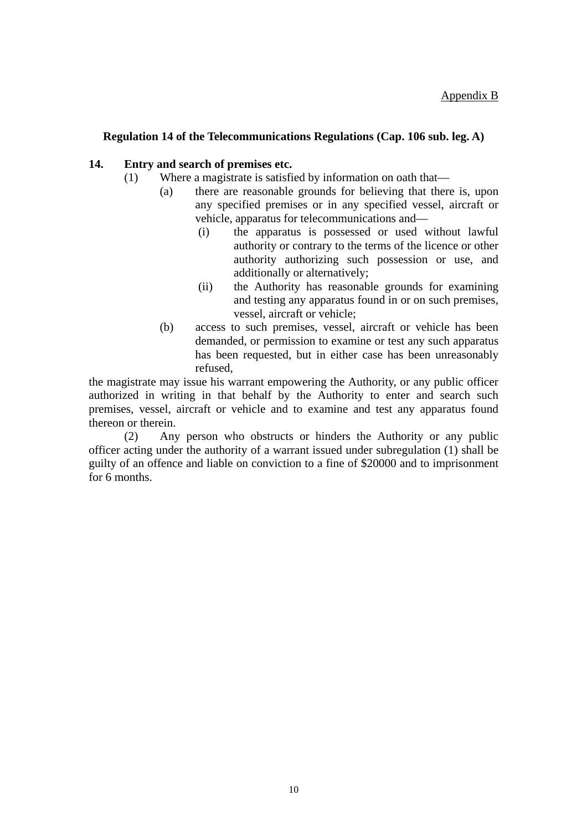#### **Regulation 14 of the Telecommunications Regulations (Cap. 106 sub. leg. A)**

#### **14. Entry and search of premises etc.**

- (1) Where a magistrate is satisfied by information on oath that—
	- (a) there are reasonable grounds for believing that there is, upon any specified premises or in any specified vessel, aircraft or vehicle, apparatus for telecommunications and—
		- (i) the apparatus is possessed or used without lawful authority or contrary to the terms of the licence or other authority authorizing such possession or use, and additionally or alternatively;
		- (ii) the Authority has reasonable grounds for examining and testing any apparatus found in or on such premises, vessel, aircraft or vehicle;
	- (b) access to such premises, vessel, aircraft or vehicle has been demanded, or permission to examine or test any such apparatus has been requested, but in either case has been unreasonably refused,

the magistrate may issue his warrant empowering the Authority, or any public officer authorized in writing in that behalf by the Authority to enter and search such premises, vessel, aircraft or vehicle and to examine and test any apparatus found thereon or therein.

(2) Any person who obstructs or hinders the Authority or any public officer acting under the authority of a warrant issued under subregulation (1) shall be guilty of an offence and liable on conviction to a fine of \$20000 and to imprisonment for 6 months.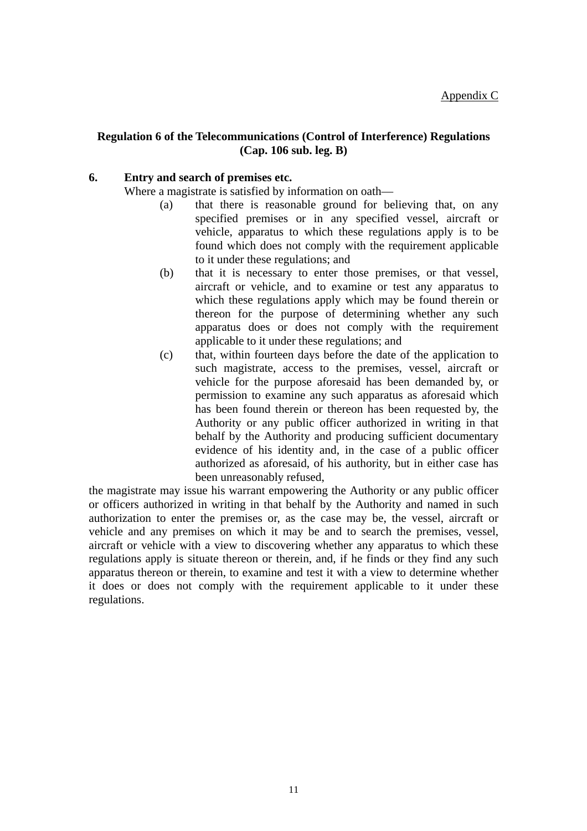#### **Regulation 6 of the Telecommunications (Control of Interference) Regulations (Cap. 106 sub. leg. B)**

#### **6. Entry and search of premises etc.**

Where a magistrate is satisfied by information on oath—

- (a) that there is reasonable ground for believing that, on any specified premises or in any specified vessel, aircraft or vehicle, apparatus to which these regulations apply is to be found which does not comply with the requirement applicable to it under these regulations; and
- (b) that it is necessary to enter those premises, or that vessel, aircraft or vehicle, and to examine or test any apparatus to which these regulations apply which may be found therein or thereon for the purpose of determining whether any such apparatus does or does not comply with the requirement applicable to it under these regulations; and
- (c) that, within fourteen days before the date of the application to such magistrate, access to the premises, vessel, aircraft or vehicle for the purpose aforesaid has been demanded by, or permission to examine any such apparatus as aforesaid which has been found therein or thereon has been requested by, the Authority or any public officer authorized in writing in that behalf by the Authority and producing sufficient documentary evidence of his identity and, in the case of a public officer authorized as aforesaid, of his authority, but in either case has been unreasonably refused,

the magistrate may issue his warrant empowering the Authority or any public officer or officers authorized in writing in that behalf by the Authority and named in such authorization to enter the premises or, as the case may be, the vessel, aircraft or vehicle and any premises on which it may be and to search the premises, vessel, aircraft or vehicle with a view to discovering whether any apparatus to which these regulations apply is situate thereon or therein, and, if he finds or they find any such apparatus thereon or therein, to examine and test it with a view to determine whether it does or does not comply with the requirement applicable to it under these regulations.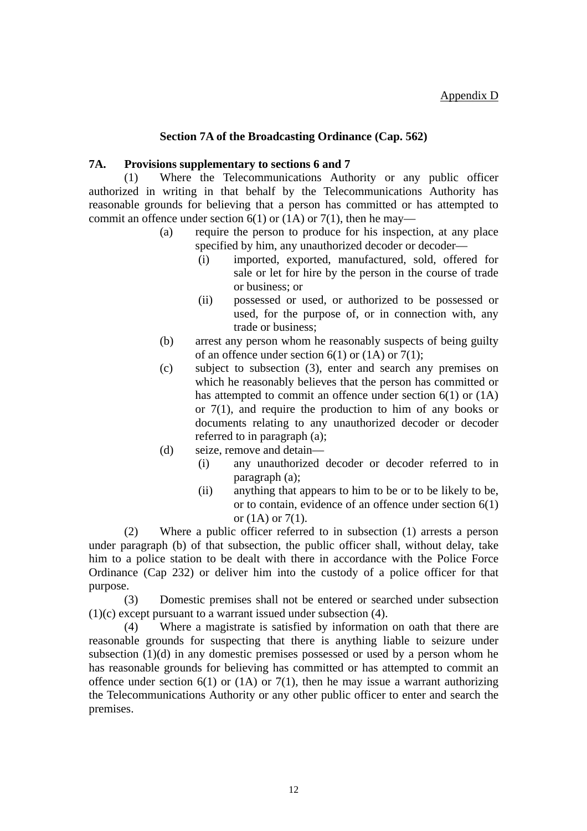#### **Section 7A of the Broadcasting Ordinance (Cap. 562)**

#### **7A. Provisions supplementary to sections 6 and 7**

(1) Where the Telecommunications Authority or any public officer authorized in writing in that behalf by the Telecommunications Authority has reasonable grounds for believing that a person has committed or has attempted to commit an offence under section  $6(1)$  or  $(1)$  or  $7(1)$ , then he may—

- (a) require the person to produce for his inspection, at any place specified by him, any unauthorized decoder or decoder—
	- (i) imported, exported, manufactured, sold, offered for sale or let for hire by the person in the course of trade or business; or
	- (ii) possessed or used, or authorized to be possessed or used, for the purpose of, or in connection with, any trade or business;
- (b) arrest any person whom he reasonably suspects of being guilty of an offence under section  $6(1)$  or  $(1A)$  or  $7(1)$ ;
- (c) subject to subsection (3), enter and search any premises on which he reasonably believes that the person has committed or has attempted to commit an offence under section 6(1) or (1A) or 7(1), and require the production to him of any books or documents relating to any unauthorized decoder or decoder referred to in paragraph (a);
- (d) seize, remove and detain—
	- (i) any unauthorized decoder or decoder referred to in paragraph (a);
	- (ii) anything that appears to him to be or to be likely to be, or to contain, evidence of an offence under section 6(1) or  $(1A)$  or  $7(1)$ .

(2) Where a public officer referred to in subsection (1) arrests a person under paragraph (b) of that subsection, the public officer shall, without delay, take him to a police station to be dealt with there in accordance with the Police Force Ordinance (Cap 232) or deliver him into the custody of a police officer for that purpose.

(3) Domestic premises shall not be entered or searched under subsection (1)(c) except pursuant to a warrant issued under subsection (4).

(4) Where a magistrate is satisfied by information on oath that there are reasonable grounds for suspecting that there is anything liable to seizure under subsection (1)(d) in any domestic premises possessed or used by a person whom he has reasonable grounds for believing has committed or has attempted to commit an offence under section  $6(1)$  or  $(1)$  or  $7(1)$ , then he may issue a warrant authorizing the Telecommunications Authority or any other public officer to enter and search the premises.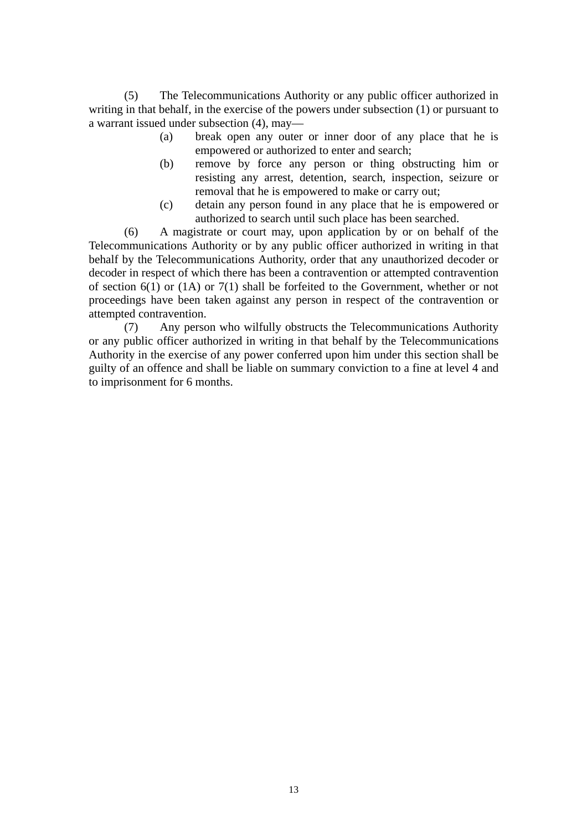(5) The Telecommunications Authority or any public officer authorized in writing in that behalf, in the exercise of the powers under subsection (1) or pursuant to a warrant issued under subsection (4), may—

- (a) break open any outer or inner door of any place that he is empowered or authorized to enter and search;
- (b) remove by force any person or thing obstructing him or resisting any arrest, detention, search, inspection, seizure or removal that he is empowered to make or carry out;
- (c) detain any person found in any place that he is empowered or authorized to search until such place has been searched.

(6) A magistrate or court may, upon application by or on behalf of the Telecommunications Authority or by any public officer authorized in writing in that behalf by the Telecommunications Authority, order that any unauthorized decoder or decoder in respect of which there has been a contravention or attempted contravention of section 6(1) or (1A) or 7(1) shall be forfeited to the Government, whether or not proceedings have been taken against any person in respect of the contravention or attempted contravention.

(7) Any person who wilfully obstructs the Telecommunications Authority or any public officer authorized in writing in that behalf by the Telecommunications Authority in the exercise of any power conferred upon him under this section shall be guilty of an offence and shall be liable on summary conviction to a fine at level 4 and to imprisonment for 6 months.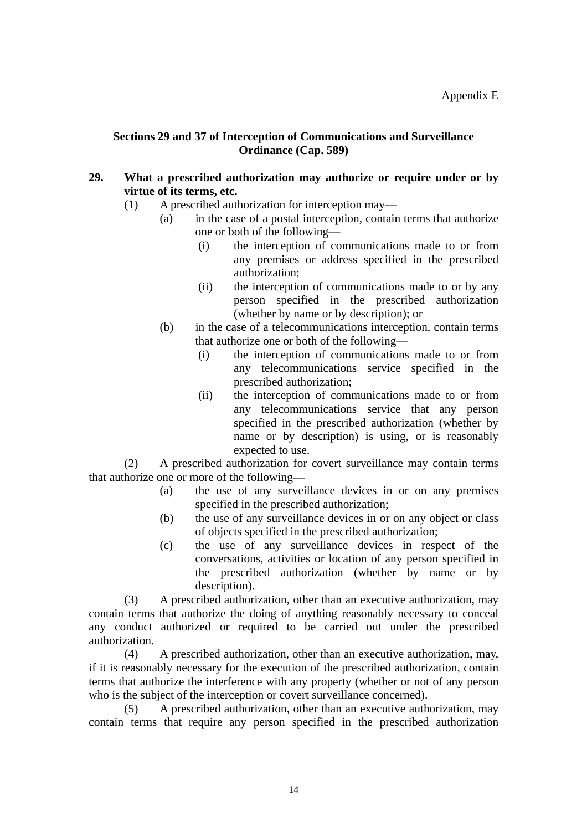#### **Sections 29 and 37 of Interception of Communications and Surveillance Ordinance (Cap. 589)**

#### **29. What a prescribed authorization may authorize or require under or by virtue of its terms, etc.**

- (1) A prescribed authorization for interception may—
	- (a) in the case of a postal interception, contain terms that authorize one or both of the following—
		- (i) the interception of communications made to or from any premises or address specified in the prescribed authorization;
		- (ii) the interception of communications made to or by any person specified in the prescribed authorization (whether by name or by description); or
	- (b) in the case of a telecommunications interception, contain terms that authorize one or both of the following—
		- (i) the interception of communications made to or from any telecommunications service specified in the prescribed authorization;
		- (ii) the interception of communications made to or from any telecommunications service that any person specified in the prescribed authorization (whether by name or by description) is using, or is reasonably expected to use.

(2) A prescribed authorization for covert surveillance may contain terms that authorize one or more of the following—

- (a) the use of any surveillance devices in or on any premises specified in the prescribed authorization;
- (b) the use of any surveillance devices in or on any object or class of objects specified in the prescribed authorization;
- (c) the use of any surveillance devices in respect of the conversations, activities or location of any person specified in the prescribed authorization (whether by name or by description).

(3) A prescribed authorization, other than an executive authorization, may contain terms that authorize the doing of anything reasonably necessary to conceal any conduct authorized or required to be carried out under the prescribed authorization.

(4) A prescribed authorization, other than an executive authorization, may, if it is reasonably necessary for the execution of the prescribed authorization, contain terms that authorize the interference with any property (whether or not of any person who is the subject of the interception or covert surveillance concerned).

(5) A prescribed authorization, other than an executive authorization, may contain terms that require any person specified in the prescribed authorization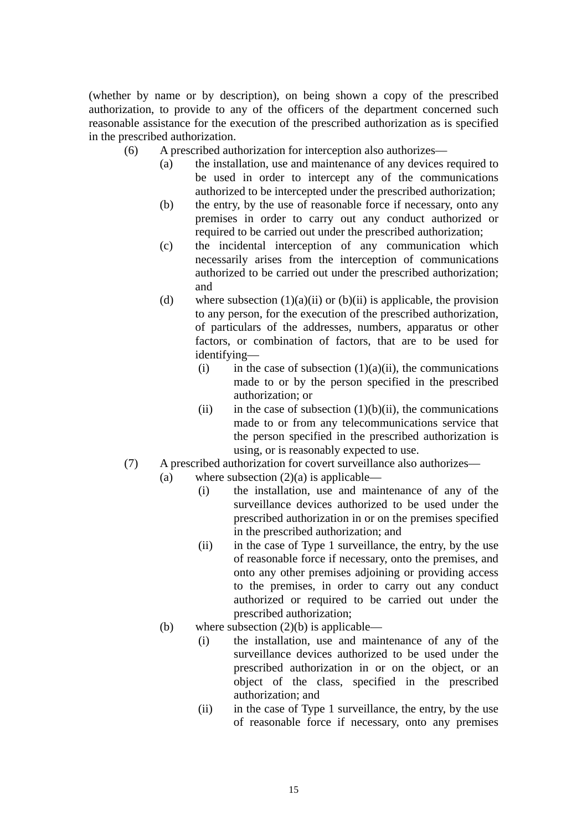(whether by name or by description), on being shown a copy of the prescribed authorization, to provide to any of the officers of the department concerned such reasonable assistance for the execution of the prescribed authorization as is specified in the prescribed authorization.

- (6) A prescribed authorization for interception also authorizes—
	- (a) the installation, use and maintenance of any devices required to be used in order to intercept any of the communications authorized to be intercepted under the prescribed authorization;
	- (b) the entry, by the use of reasonable force if necessary, onto any premises in order to carry out any conduct authorized or required to be carried out under the prescribed authorization;
	- (c) the incidental interception of any communication which necessarily arises from the interception of communications authorized to be carried out under the prescribed authorization; and
	- (d) where subsection  $(1)(a)(ii)$  or  $(b)(ii)$  is applicable, the provision to any person, for the execution of the prescribed authorization, of particulars of the addresses, numbers, apparatus or other factors, or combination of factors, that are to be used for identifying—
		- (i) in the case of subsection  $(1)(a)(ii)$ , the communications made to or by the person specified in the prescribed authorization; or
		- (ii) in the case of subsection  $(1)(b)(ii)$ , the communications made to or from any telecommunications service that the person specified in the prescribed authorization is using, or is reasonably expected to use.
- (7) A prescribed authorization for covert surveillance also authorizes—
	- (a) where subsection  $(2)(a)$  is applicable—
		- (i) the installation, use and maintenance of any of the surveillance devices authorized to be used under the prescribed authorization in or on the premises specified in the prescribed authorization; and
		- (ii) in the case of Type 1 surveillance, the entry, by the use of reasonable force if necessary, onto the premises, and onto any other premises adjoining or providing access to the premises, in order to carry out any conduct authorized or required to be carried out under the prescribed authorization;
	- (b) where subsection  $(2)(b)$  is applicable—
		- (i) the installation, use and maintenance of any of the surveillance devices authorized to be used under the prescribed authorization in or on the object, or an object of the class, specified in the prescribed authorization; and
		- (ii) in the case of Type 1 surveillance, the entry, by the use of reasonable force if necessary, onto any premises